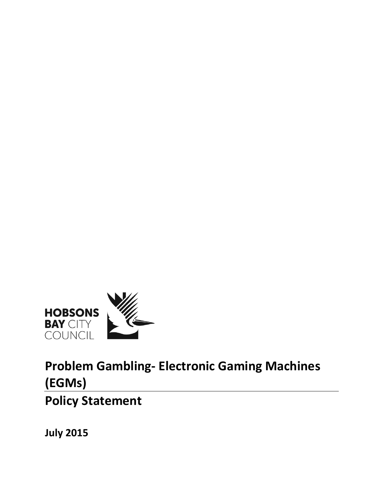

**Problem Gambling- Electronic Gaming Machines (EGMs) Policy Statement**

**July 2015**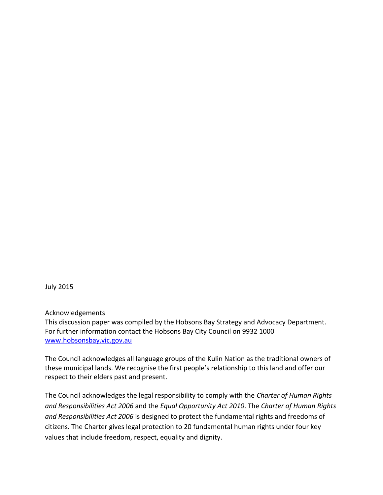July 2015

Acknowledgements

This discussion paper was compiled by the Hobsons Bay Strategy and Advocacy Department. For further information contact the Hobsons Bay City Council on 9932 1000 [www.hobsonsbay.vic.gov.au](http://www.hobsonsbay.vic.gov.au/)

The Council acknowledges all language groups of the Kulin Nation as the traditional owners of these municipal lands. We recognise the first people's relationship to this land and offer our respect to their elders past and present.

The Council acknowledges the legal responsibility to comply with the *Charter of Human Rights and Responsibilities Act 2006* and the *Equal Opportunity Act 2010*. The *Charter of Human Rights and Responsibilities Act 2006* is designed to protect the fundamental rights and freedoms of citizens. The Charter gives legal protection to 20 fundamental human rights under four key values that include freedom, respect, equality and dignity.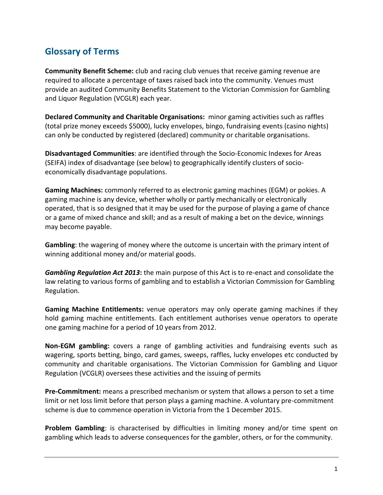# **Glossary of Terms**

**Community Benefit Scheme:** club and racing club venues that receive gaming revenue are required to allocate a percentage of taxes raised back into the community. Venues must provide an audited Community Benefits Statement to the Victorian Commission for Gambling and Liquor Regulation (VCGLR) each year.

**Declared Community and Charitable Organisations:** minor gaming activities such as raffles (total prize money exceeds \$5000), lucky envelopes, bingo, fundraising events (casino nights) can only be conducted by registered (declared) community or charitable organisations.

**Disadvantaged Communities**: are identified through the Socio-Economic Indexes for Areas (SEIFA) index of disadvantage (see below) to geographically identify clusters of socioeconomically disadvantage populations.

**Gaming Machines:** commonly referred to as electronic gaming machines (EGM) or pokies. A gaming machine is any device, whether wholly or partly mechanically or electronically operated, that is so designed that it may be used for the purpose of playing a game of chance or a game of mixed chance and skill; and as a result of making a bet on the device, winnings may become payable.

**Gambling**: the wagering of money where the outcome is uncertain with the primary intent of winning additional money and/or material goods.

*Gambling Regulation Act 2013***:** the main purpose of this Act is to re-enact and consolidate the law relating to various forms of gambling and to establish a Victorian Commission for Gambling Regulation.

**Gaming Machine Entitlements:** venue operators may only operate gaming machines if they hold gaming machine entitlements. Each entitlement authorises venue operators to operate one gaming machine for a period of 10 years from 2012.

**Non-EGM gambling:** covers a range of gambling activities and fundraising events such as wagering, sports betting, bingo, card games, sweeps, raffles, lucky envelopes etc conducted by community and charitable organisations. The Victorian Commission for Gambling and Liquor Regulation (VCGLR) oversees these activities and the issuing of permits

**Pre-Commitment:** means a prescribed mechanism or system that allows a person to set a time limit or net loss limit before that person plays a gaming machine. A voluntary pre-commitment scheme is due to commence operation in Victoria from the 1 December 2015.

**Problem Gambling**: is characterised by difficulties in limiting money and/or time spent on gambling which leads to adverse consequences for the gambler, others, or for the community.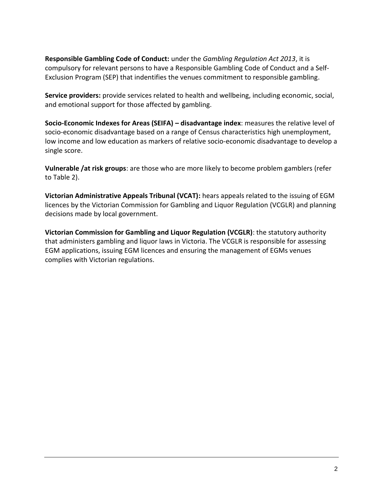**Responsible Gambling Code of Conduct:** under the *Gambling Regulation Act 2013*, it is compulsory for relevant persons to have a Responsible Gambling Code of Conduct and a Self-Exclusion Program (SEP) that indentifies the venues commitment to responsible gambling.

**Service providers:** provide services related to health and wellbeing, including economic, social, and emotional support for those affected by gambling.

**Socio-Economic Indexes for Areas (SEIFA) – disadvantage index**: measures the relative level of socio-economic disadvantage based on a range of Census characteristics high unemployment, low income and low education as markers of relative socio-economic disadvantage to develop a single score.

**Vulnerable /at risk groups**: are those who are more likely to become problem gamblers (refer to Table 2).

**Victorian Administrative Appeals Tribunal (VCAT):** hears appeals related to the issuing of EGM licences by the Victorian Commission for Gambling and Liquor Regulation (VCGLR) and planning decisions made by local government.

**Victorian Commission for Gambling and Liquor Regulation (VCGLR)**: the statutory authority that administers gambling and liquor laws in Victoria. The VCGLR is responsible for assessing EGM applications, issuing EGM licences and ensuring the management of EGMs venues complies with Victorian regulations.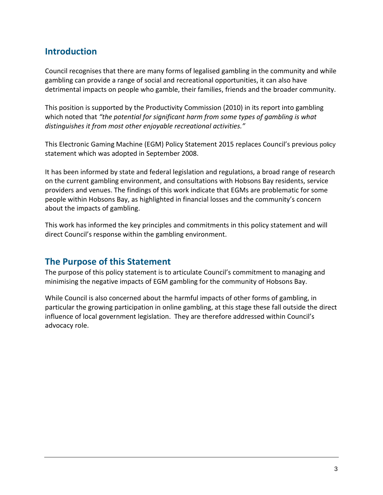# **Introduction**

Council recognises that there are many forms of legalised gambling in the community and while gambling can provide a range of social and recreational opportunities, it can also have detrimental impacts on people who gamble, their families, friends and the broader community.

This position is supported by the Productivity Commission (2010) in its report into gambling which noted that *"the potential for significant harm from some types of gambling is what distinguishes it from most other enjoyable recreational activities."* 

This Electronic Gaming Machine (EGM) Policy Statement 2015 replaces Council's previous policy statement which was adopted in September 2008.

It has been informed by state and federal legislation and regulations, a broad range of research on the current gambling environment, and consultations with Hobsons Bay residents, service providers and venues. The findings of this work indicate that EGMs are problematic for some people within Hobsons Bay, as highlighted in financial losses and the community's concern about the impacts of gambling.

This work has informed the key principles and commitments in this policy statement and will direct Council's response within the gambling environment.

# **The Purpose of this Statement**

The purpose of this policy statement is to articulate Council's commitment to managing and minimising the negative impacts of EGM gambling for the community of Hobsons Bay.

While Council is also concerned about the harmful impacts of other forms of gambling, in particular the growing participation in online gambling, at this stage these fall outside the direct influence of local government legislation. They are therefore addressed within Council's advocacy role.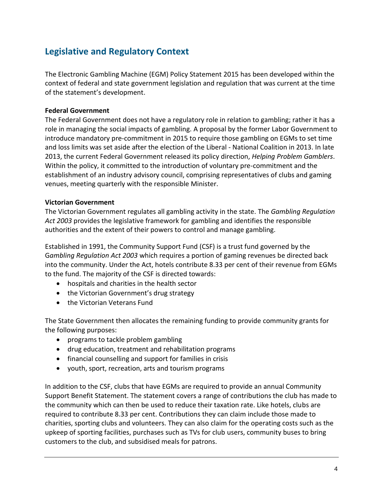# **Legislative and Regulatory Context**

The Electronic Gambling Machine (EGM) Policy Statement 2015 has been developed within the context of federal and state government legislation and regulation that was current at the time of the statement's development.

### **Federal Government**

The Federal Government does not have a regulatory role in relation to gambling; rather it has a role in managing the social impacts of gambling. A proposal by the former Labor Government to introduce mandatory pre-commitment in 2015 to require those gambling on EGMs to set time and loss limits was set aside after the election of the Liberal - National Coalition in 2013. In late 2013, the current Federal Government released its policy direction, *Helping Problem Gamblers*. Within the policy, it committed to the introduction of voluntary pre-commitment and the establishment of an industry advisory council, comprising representatives of clubs and gaming venues, meeting quarterly with the responsible Minister.

### **Victorian Government**

The Victorian Government regulates all gambling activity in the state. The *Gambling Regulation Act 2003* provides the legislative framework for gambling and identifies the responsible authorities and the extent of their powers to control and manage gambling.

Established in 1991, the Community Support Fund (CSF) is a trust fund governed by the G*ambling Regulation Act 2003* which requires a portion of gaming revenues be directed back into the community. Under the Act, hotels contribute 8.33 per cent of their revenue from EGMs to the fund. The majority of the CSF is directed towards:

- hospitals and charities in the health sector
- the Victorian Government's drug strategy
- the Victorian Veterans Fund

The State Government then allocates the remaining funding to provide community grants for the following purposes:

- programs to tackle problem gambling
- drug education, treatment and rehabilitation programs
- financial counselling and support for families in crisis
- youth, sport, recreation, arts and tourism programs

In addition to the CSF, clubs that have EGMs are required to provide an annual Community Support Benefit Statement. The statement covers a range of contributions the club has made to the community which can then be used to reduce their taxation rate. Like hotels, clubs are required to contribute 8.33 per cent. Contributions they can claim include those made to charities, sporting clubs and volunteers. They can also claim for the operating costs such as the upkeep of sporting facilities, purchases such as TVs for club users, community buses to bring customers to the club, and subsidised meals for patrons.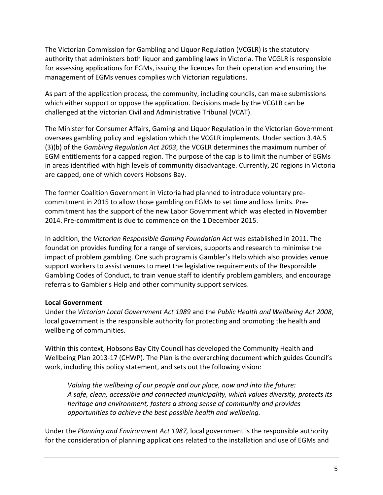The Victorian Commission for Gambling and Liquor Regulation (VCGLR) is the statutory authority that administers both liquor and gambling laws in Victoria. The VCGLR is responsible for assessing applications for EGMs, issuing the licences for their operation and ensuring the management of EGMs venues complies with Victorian regulations.

As part of the application process, the community, including councils, can make submissions which either support or oppose the application. Decisions made by the VCGLR can be challenged at the Victorian Civil and Administrative Tribunal (VCAT).

The Minister for Consumer Affairs, Gaming and Liquor Regulation in the Victorian Government oversees gambling policy and legislation which the VCGLR implements. Under section 3.4A.5 (3)(b) of the *Gambling Regulation Act 2003*, the VCGLR determines the maximum number of EGM entitlements for a capped region. The purpose of the cap is to limit the number of EGMs in areas identified with high levels of community disadvantage. Currently, 20 regions in Victoria are capped, one of which covers Hobsons Bay.

The former Coalition Government in Victoria had planned to introduce voluntary precommitment in 2015 to allow those gambling on EGMs to set time and loss limits. Precommitment has the support of the new Labor Government which was elected in November 2014. Pre-commitment is due to commence on the 1 December 2015.

In addition, the *Victorian Responsible Gaming Foundation Act* was established in 2011. The foundation provides funding for a range of services, supports and research to minimise the impact of problem gambling. One such program is Gambler's Help which also provides venue support workers to assist venues to meet the legislative requirements of the Responsible Gambling Codes of Conduct, to train venue staff to identify problem gamblers, and encourage referrals to Gambler's Help and other community support services.

### **Local Government**

Under the *Victorian Local Government Act 1989* and the *Public Health and Wellbeing Act 2008*, local government is the responsible authority for protecting and promoting the health and wellbeing of communities.

Within this context, Hobsons Bay City Council has developed the Community Health and Wellbeing Plan 2013-17 (CHWP). The Plan is the overarching document which guides Council's work, including this policy statement, and sets out the following vision:

*Valuing the wellbeing of our people and our place, now and into the future: A safe, clean, accessible and connected municipality, which values diversity, protects its heritage and environment, fosters a strong sense of community and provides opportunities to achieve the best possible health and wellbeing.* 

Under the *Planning and Environment Act 1987,* local government is the responsible authority for the consideration of planning applications related to the installation and use of EGMs and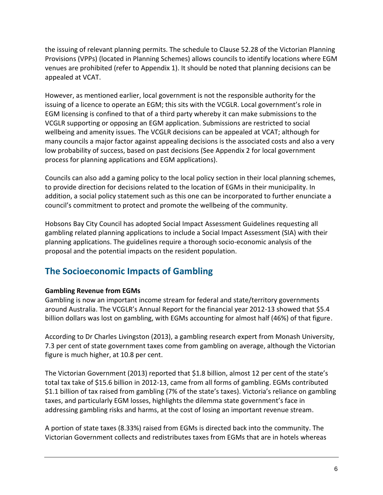the issuing of relevant planning permits. The schedule to Clause 52.28 of the Victorian Planning Provisions (VPPs) (located in Planning Schemes) allows councils to identify locations where EGM venues are prohibited (refer to Appendix 1). It should be noted that planning decisions can be appealed at VCAT.

However, as mentioned earlier, local government is not the responsible authority for the issuing of a licence to operate an EGM; this sits with the VCGLR. Local government's role in EGM licensing is confined to that of a third party whereby it can make submissions to the VCGLR supporting or opposing an EGM application. Submissions are restricted to social wellbeing and amenity issues. The VCGLR decisions can be appealed at VCAT; although for many councils a major factor against appealing decisions is the associated costs and also a very low probability of success, based on past decisions (See Appendix 2 for local government process for planning applications and EGM applications).

Councils can also add a gaming policy to the local policy section in their local planning schemes, to provide direction for decisions related to the location of EGMs in their municipality. In addition, a social policy statement such as this one can be incorporated to further enunciate a council's commitment to protect and promote the wellbeing of the community.

Hobsons Bay City Council has adopted Social Impact Assessment Guidelines requesting all gambling related planning applications to include a Social Impact Assessment (SIA) with their planning applications. The guidelines require a thorough socio-economic analysis of the proposal and the potential impacts on the resident population.

# **The Socioeconomic Impacts of Gambling**

## **Gambling Revenue from EGMs**

Gambling is now an important income stream for federal and state/territory governments around Australia. The VCGLR's Annual Report for the financial year 2012-13 showed that \$5.4 billion dollars was lost on gambling, with EGMs accounting for almost half (46%) of that figure.

According to Dr Charles Livingston (2013), a gambling research expert from Monash University, 7.3 per cent of state government taxes come from gambling on average, although the Victorian figure is much higher, at 10.8 per cent.

The Victorian Government (2013) reported that \$1.8 billion, almost 12 per cent of the state's total tax take of \$15.6 billion in 2012-13, came from all forms of gambling. EGMs contributed \$1.1 billion of tax raised from gambling (7% of the state's taxes). Victoria's reliance on gambling taxes, and particularly EGM losses, highlights the dilemma state government's face in addressing gambling risks and harms, at the cost of losing an important revenue stream.

A portion of state taxes (8.33%) raised from EGMs is directed back into the community. The Victorian Government collects and redistributes taxes from EGMs that are in hotels whereas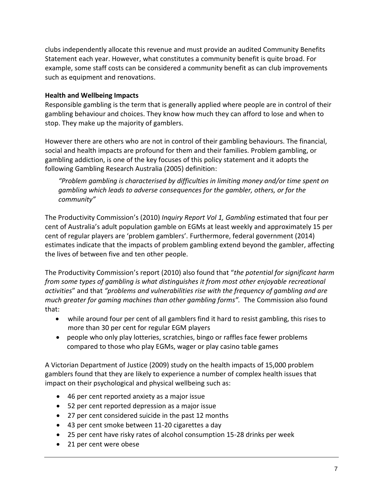clubs independently allocate this revenue and must provide an audited Community Benefits Statement each year. However, what constitutes a community benefit is quite broad. For example, some staff costs can be considered a community benefit as can club improvements such as equipment and renovations.

### **Health and Wellbeing Impacts**

Responsible gambling is the term that is generally applied where people are in control of their gambling behaviour and choices. They know how much they can afford to lose and when to stop. They make up the majority of gamblers.

However there are others who are not in control of their gambling behaviours. The financial, social and health impacts are profound for them and their families. Problem gambling, or gambling addiction, is one of the key focuses of this policy statement and it adopts the following Gambling Research Australia (2005) definition:

*"Problem gambling is characterised by difficulties in limiting money and/or time spent on gambling which leads to adverse consequences for the gambler, others, or for the community"*

The Productivity Commission's (2010) *Inquiry Report Vol 1, Gambling* estimated that four per cent of Australia's adult population gamble on EGMs at least weekly and approximately 15 per cent of regular players are 'problem gamblers'. Furthermore, federal government (2014) estimates indicate that the impacts of problem gambling extend beyond the gambler, affecting the lives of between five and ten other people.

The Productivity Commission's report (2010) also found that "*the potential for significant harm from some types of gambling is what distinguishes it from most other enjoyable recreational activities*" and that *"problems and vulnerabilities rise with the frequency of gambling and are much greater for gaming machines than other gambling forms".* The Commission also found that:

- while around four per cent of all gamblers find it hard to resist gambling, this rises to more than 30 per cent for regular EGM players
- people who only play lotteries, scratchies, bingo or raffles face fewer problems compared to those who play EGMs, wager or play casino table games

A Victorian Department of Justice (2009) study on the health impacts of 15,000 problem gamblers found that they are likely to experience a number of complex health issues that impact on their psychological and physical wellbeing such as:

- 46 per cent reported anxiety as a major issue
- 52 per cent reported depression as a major issue
- 27 per cent considered suicide in the past 12 months
- 43 per cent smoke between 11-20 cigarettes a day
- 25 per cent have risky rates of alcohol consumption 15-28 drinks per week
- 21 per cent were obese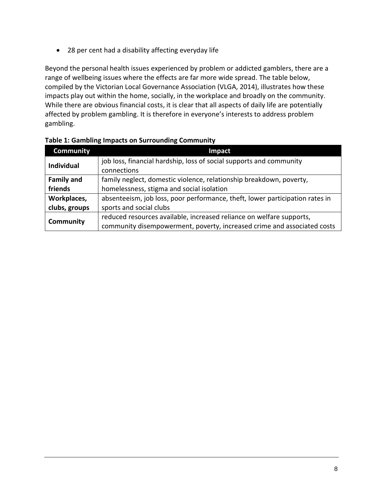28 per cent had a disability affecting everyday life

Beyond the personal health issues experienced by problem or addicted gamblers, there are a range of wellbeing issues where the effects are far more wide spread. The table below, compiled by the Victorian Local Governance Association (VLGA, 2014), illustrates how these impacts play out within the home, socially, in the workplace and broadly on the community. While there are obvious financial costs, it is clear that all aspects of daily life are potentially affected by problem gambling. It is therefore in everyone's interests to address problem gambling.

| <b>Community</b>  | Impact                                                                       |  |
|-------------------|------------------------------------------------------------------------------|--|
| <b>Individual</b> | job loss, financial hardship, loss of social supports and community          |  |
|                   | connections                                                                  |  |
| <b>Family and</b> | family neglect, domestic violence, relationship breakdown, poverty,          |  |
| friends           | homelessness, stigma and social isolation                                    |  |
| Workplaces,       | absenteeism, job loss, poor performance, theft, lower participation rates in |  |
| clubs, groups     | sports and social clubs                                                      |  |
| <b>Community</b>  | reduced resources available, increased reliance on welfare supports,         |  |
|                   | community disempowerment, poverty, increased crime and associated costs      |  |

**Table 1: Gambling Impacts on Surrounding Community**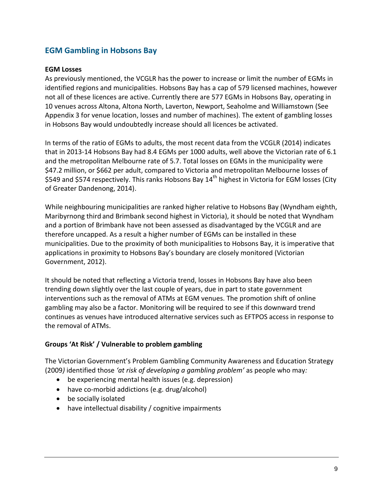# **EGM Gambling in Hobsons Bay**

#### **EGM Losses**

As previously mentioned, the VCGLR has the power to increase or limit the number of EGMs in identified regions and municipalities. Hobsons Bay has a cap of 579 licensed machines, however not all of these licences are active. Currently there are 577 EGMs in Hobsons Bay, operating in 10 venues across Altona, Altona North, Laverton, Newport, Seaholme and Williamstown (See Appendix 3 for venue location, losses and number of machines). The extent of gambling losses in Hobsons Bay would undoubtedly increase should all licences be activated.

In terms of the ratio of EGMs to adults, the most recent data from the VCGLR (2014) indicates that in 2013-14 Hobsons Bay had 8.4 EGMs per 1000 adults, well above the Victorian rate of 6.1 and the metropolitan Melbourne rate of 5.7. Total losses on EGMs in the municipality were \$47.2 million, or \$662 per adult, compared to Victoria and metropolitan Melbourne losses of \$549 and \$574 respectively. This ranks Hobsons Bay 14<sup>th</sup> highest in Victoria for EGM losses (City of Greater Dandenong, 2014).

While neighbouring municipalities are ranked higher relative to Hobsons Bay (Wyndham eighth, Maribyrnong third and Brimbank second highest in Victoria), it should be noted that Wyndham and a portion of Brimbank have not been assessed as disadvantaged by the VCGLR and are therefore uncapped. As a result a higher number of EGMs can be installed in these municipalities. Due to the proximity of both municipalities to Hobsons Bay, it is imperative that applications in proximity to Hobsons Bay's boundary are closely monitored (Victorian Government, 2012).

It should be noted that reflecting a Victoria trend, losses in Hobsons Bay have also been trending down slightly over the last couple of years, due in part to state government interventions such as the removal of ATMs at EGM venues. The promotion shift of online gambling may also be a factor. Monitoring will be required to see if this downward trend continues as venues have introduced alternative services such as EFTPOS access in response to the removal of ATMs.

### **Groups 'At Risk' / Vulnerable to problem gambling**

The Victorian Government's Problem Gambling Community Awareness and Education Strategy (2009*)* identified those *'at risk of developing a gambling problem'* as people who may*:*

- be experiencing mental health issues (e.g. depression)
- have co-morbid addictions (e.g. drug/alcohol)
- be socially isolated
- have intellectual disability / cognitive impairments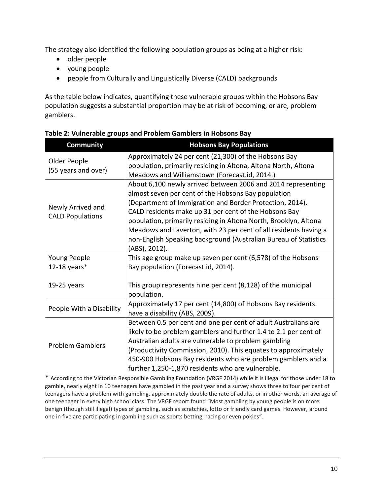The strategy also identified the following population groups as being at a higher risk:

- older people
- young people
- people from Culturally and Linguistically Diverse (CALD) backgrounds

As the table below indicates, quantifying these vulnerable groups within the Hobsons Bay population suggests a substantial proportion may be at risk of becoming, or are, problem gamblers.

| <b>Community</b>                             | <b>Hobsons Bay Populations</b>                                                                                                                                                                                                                                                                                                                                                                                                                                        |  |  |
|----------------------------------------------|-----------------------------------------------------------------------------------------------------------------------------------------------------------------------------------------------------------------------------------------------------------------------------------------------------------------------------------------------------------------------------------------------------------------------------------------------------------------------|--|--|
| Older People<br>(55 years and over)          | Approximately 24 per cent (21,300) of the Hobsons Bay<br>population, primarily residing in Altona, Altona North, Altona<br>Meadows and Williamstown (Forecast.id, 2014.)                                                                                                                                                                                                                                                                                              |  |  |
| Newly Arrived and<br><b>CALD Populations</b> | About 6,100 newly arrived between 2006 and 2014 representing<br>almost seven per cent of the Hobsons Bay population<br>(Department of Immigration and Border Protection, 2014).<br>CALD residents make up 31 per cent of the Hobsons Bay<br>population, primarily residing in Altona North, Brooklyn, Altona<br>Meadows and Laverton, with 23 per cent of all residents having a<br>non-English Speaking background (Australian Bureau of Statistics<br>(ABS), 2012). |  |  |
| Young People                                 | This age group make up seven per cent (6,578) of the Hobsons                                                                                                                                                                                                                                                                                                                                                                                                          |  |  |
| 12-18 years $*$<br>$19-25$ years             | Bay population (Forecast.id, 2014).<br>This group represents nine per cent (8,128) of the municipal<br>population.                                                                                                                                                                                                                                                                                                                                                    |  |  |
| People With a Disability                     | Approximately 17 per cent (14,800) of Hobsons Bay residents<br>have a disability (ABS, 2009).                                                                                                                                                                                                                                                                                                                                                                         |  |  |
| <b>Problem Gamblers</b>                      | Between 0.5 per cent and one per cent of adult Australians are<br>likely to be problem gamblers and further 1.4 to 2.1 per cent of<br>Australian adults are vulnerable to problem gambling<br>(Productivity Commission, 2010). This equates to approximately<br>450-900 Hobsons Bay residents who are problem gamblers and a<br>further 1,250-1,870 residents who are vulnerable.                                                                                     |  |  |

### **Table 2: Vulnerable groups and Problem Gamblers in Hobsons Bay**

\* According to the Victorian Responsible Gambling Foundation (VRGF 2014) while it is illegal for those under 18 to gamble, nearly eight in 10 teenagers have gambled in the past year and a survey shows three to four per cent of teenagers have a problem with gambling, approximately double the rate of adults, or in other words, an average of one teenager in every high school class. The VRGF report found "Most gambling by young people is on more benign (though still illegal) types of gambling, such as scratchies, lotto or friendly card games. However, around one in five are participating in gambling such as sports betting, racing or even pokies".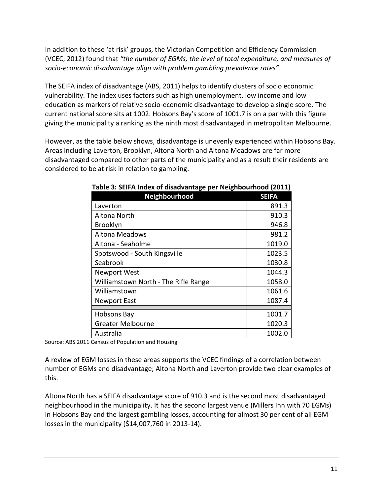In addition to these 'at risk' groups, the Victorian Competition and Efficiency Commission (VCEC, 2012) found that *"the number of EGMs, the level of total expenditure, and measures of socio-economic disadvantage align with problem gambling prevalence rates"*.

The SEIFA index of disadvantage (ABS, 2011) helps to identify clusters of socio economic vulnerability. The index uses factors such as high unemployment, low income and low education as markers of relative socio-economic disadvantage to develop a single score. The current national score sits at 1002. Hobsons Bay's score of 1001.7 is on a par with this figure giving the municipality a ranking as the ninth most disadvantaged in metropolitan Melbourne.

However, as the table below shows, disadvantage is unevenly experienced within Hobsons Bay. Areas including Laverton, Brooklyn, Altona North and Altona Meadows are far more disadvantaged compared to other parts of the municipality and as a result their residents are considered to be at risk in relation to gambling.

| Neighbourhood                        | <b>SEIFA</b> |
|--------------------------------------|--------------|
| Laverton                             | 891.3        |
| Altona North                         | 910.3        |
| <b>Brooklyn</b>                      | 946.8        |
| Altona Meadows                       | 981.2        |
| Altona - Seaholme                    | 1019.0       |
| Spotswood - South Kingsville         | 1023.5       |
| Seabrook                             | 1030.8       |
| <b>Newport West</b>                  | 1044.3       |
| Williamstown North - The Rifle Range | 1058.0       |
| Williamstown                         | 1061.6       |
| <b>Newport East</b>                  | 1087.4       |
|                                      |              |
| Hobsons Bay                          | 1001.7       |
| <b>Greater Melbourne</b>             | 1020.3       |
| Australia                            | 1002.0       |

| Table 3: SEIFA Index of disadvantage per Neighbourhood (2011) |  |
|---------------------------------------------------------------|--|
|---------------------------------------------------------------|--|

Source: ABS 2011 Census of Population and Housing

A review of EGM losses in these areas supports the VCEC findings of a correlation between number of EGMs and disadvantage; Altona North and Laverton provide two clear examples of this.

Altona North has a SEIFA disadvantage score of 910.3 and is the second most disadvantaged neighbourhood in the municipality. It has the second largest venue (Millers Inn with 70 EGMs) in Hobsons Bay and the largest gambling losses, accounting for almost 30 per cent of all EGM losses in the municipality (\$14,007,760 in 2013-14).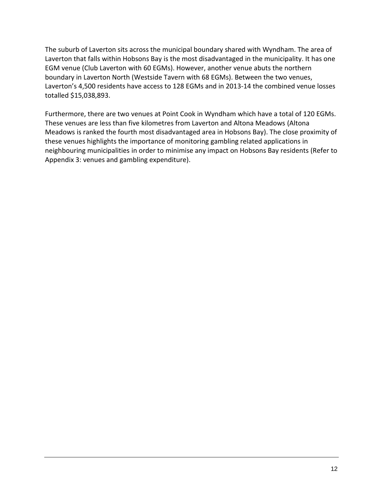The suburb of Laverton sits across the municipal boundary shared with Wyndham. The area of Laverton that falls within Hobsons Bay is the most disadvantaged in the municipality. It has one EGM venue (Club Laverton with 60 EGMs). However, another venue abuts the northern boundary in Laverton North (Westside Tavern with 68 EGMs). Between the two venues, Laverton's 4,500 residents have access to 128 EGMs and in 2013-14 the combined venue losses totalled \$15,038,893.

Furthermore, there are two venues at Point Cook in Wyndham which have a total of 120 EGMs. These venues are less than five kilometres from Laverton and Altona Meadows (Altona Meadows is ranked the fourth most disadvantaged area in Hobsons Bay). The close proximity of these venues highlights the importance of monitoring gambling related applications in neighbouring municipalities in order to minimise any impact on Hobsons Bay residents (Refer to Appendix 3: venues and gambling expenditure).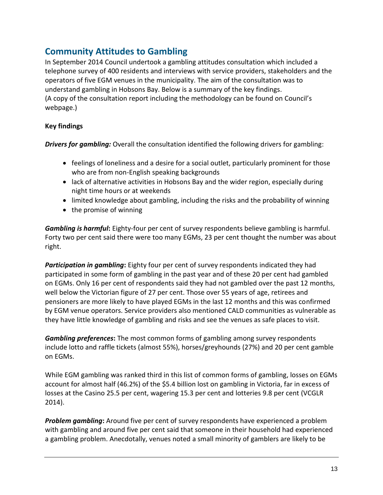# **Community Attitudes to Gambling**

In September 2014 Council undertook a gambling attitudes consultation which included a telephone survey of 400 residents and interviews with service providers, stakeholders and the operators of five EGM venues in the municipality. The aim of the consultation was to understand gambling in Hobsons Bay. Below is a summary of the key findings. (A copy of the consultation report including the methodology can be found on Council's webpage.)

### **Key findings**

*Drivers for gambling:* Overall the consultation identified the following drivers for gambling:

- feelings of loneliness and a desire for a social outlet, particularly prominent for those who are from non-English speaking backgrounds
- lack of alternative activities in Hobsons Bay and the wider region, especially during night time hours or at weekends
- limited knowledge about gambling, including the risks and the probability of winning
- the promise of winning

*Gambling is harmful***:** Eighty-four per cent of survey respondents believe gambling is harmful. Forty two per cent said there were too many EGMs, 23 per cent thought the number was about right.

**Participation in gambling:** Eighty four per cent of survey respondents indicated they had participated in some form of gambling in the past year and of these 20 per cent had gambled on EGMs. Only 16 per cent of respondents said they had not gambled over the past 12 months, well below the Victorian figure of 27 per cent. Those over 55 years of age, retirees and pensioners are more likely to have played EGMs in the last 12 months and this was confirmed by EGM venue operators. Service providers also mentioned CALD communities as vulnerable as they have little knowledge of gambling and risks and see the venues as safe places to visit.

*Gambling preferences***:** The most common forms of gambling among survey respondents include lotto and raffle tickets (almost 55%), horses/greyhounds (27%) and 20 per cent gamble on EGMs.

While EGM gambling was ranked third in this list of common forms of gambling, losses on EGMs account for almost half (46.2%) of the \$5.4 billion lost on gambling in Victoria, far in excess of losses at the Casino 25.5 per cent, wagering 15.3 per cent and lotteries 9.8 per cent (VCGLR 2014).

*Problem gambling***:** Around five per cent of survey respondents have experienced a problem with gambling and around five per cent said that someone in their household had experienced a gambling problem. Anecdotally, venues noted a small minority of gamblers are likely to be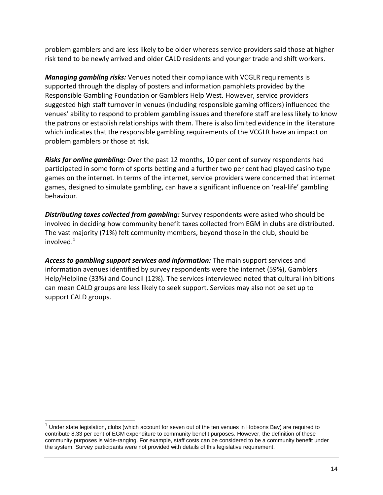problem gamblers and are less likely to be older whereas service providers said those at higher risk tend to be newly arrived and older CALD residents and younger trade and shift workers.

*Managing gambling risks:* Venues noted their compliance with VCGLR requirements is supported through the display of posters and information pamphlets provided by the Responsible Gambling Foundation or Gamblers Help West. However, service providers suggested high staff turnover in venues (including responsible gaming officers) influenced the venues' ability to respond to problem gambling issues and therefore staff are less likely to know the patrons or establish relationships with them. There is also limited evidence in the literature which indicates that the responsible gambling requirements of the VCGLR have an impact on problem gamblers or those at risk.

*Risks for online gambling:* Over the past 12 months, 10 per cent of survey respondents had participated in some form of sports betting and a further two per cent had played casino type games on the internet. In terms of the internet, service providers were concerned that internet games, designed to simulate gambling, can have a significant influence on 'real-life' gambling behaviour.

*Distributing taxes collected from gambling:* Survey respondents were asked who should be involved in deciding how community benefit taxes collected from EGM in clubs are distributed. The vast majority (71%) felt community members, beyond those in the club, should be involved. $^{1}$ 

*Access to gambling support services and information:* The main support services and information avenues identified by survey respondents were the internet (59%), Gamblers Help/Helpline (33%) and Council (12%). The services interviewed noted that cultural inhibitions can mean CALD groups are less likely to seek support. Services may also not be set up to support CALD groups.

<sup>1</sup> Under state legislation, clubs (which account for seven out of the ten venues in Hobsons Bay) are required to contribute 8.33 per cent of EGM expenditure to community benefit purposes. However, the definition of these community purposes is wide-ranging. For example, staff costs can be considered to be a community benefit under the system. Survey participants were not provided with details of this legislative requirement.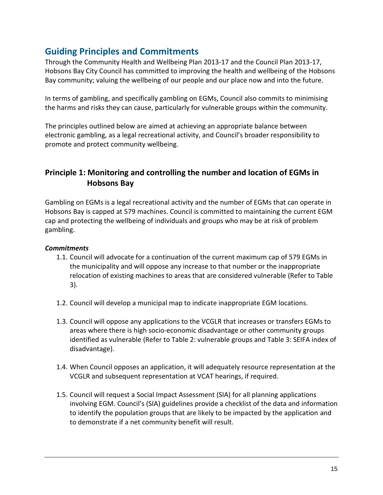# **Guiding Principles and Commitments**

Through the Community Health and Wellbeing Plan 2013-17 and the Council Plan 2013-17, Hobsons Bay City Council has committed to improving the health and wellbeing of the Hobsons Bay community; valuing the wellbeing of our people and our place now and into the future.

In terms of gambling, and specifically gambling on EGMs, Council also commits to minimising the harms and risks they can cause, particularly for vulnerable groups within the community.

The principles outlined below are aimed at achieving an appropriate balance between electronic gambling, as a legal recreational activity, and Council's broader responsibility to promote and protect community wellbeing.

# **Principle 1: Monitoring and controlling the number and location of EGMs in Hobsons Bay**

Gambling on EGMs is a legal recreational activity and the number of EGMs that can operate in Hobsons Bay is capped at 579 machines. Council is committed to maintaining the current EGM cap and protecting the wellbeing of individuals and groups who may be at risk of problem gambling.

- 1.1. Council will advocate for a continuation of the current maximum cap of 579 EGMs in the municipality and will oppose any increase to that number or the inappropriate relocation of existing machines to areas that are considered vulnerable (Refer to Table 3).
- 1.2. Council will develop a municipal map to indicate inappropriate EGM locations.
- 1.3. Council will oppose any applications to the VCGLR that increases or transfers EGMs to areas where there is high socio-economic disadvantage or other community groups identified as vulnerable (Refer to Table 2: vulnerable groups and Table 3: SEIFA index of disadvantage).
- 1.4. When Council opposes an application, it will adequately resource representation at the VCGLR and subsequent representation at VCAT hearings, if required.
- 1.5. Council will request a Social Impact Assessment (SIA) for all planning applications involving EGM. Council's (SIA) guidelines provide a checklist of the data and information to identify the population groups that are likely to be impacted by the application and to demonstrate if a net community benefit will result.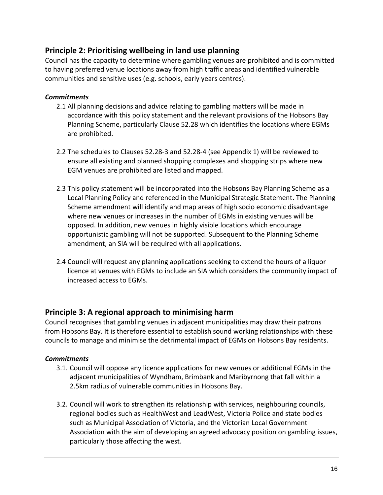# **Principle 2: Prioritising wellbeing in land use planning**

Council has the capacity to determine where gambling venues are prohibited and is committed to having preferred venue locations away from high traffic areas and identified vulnerable communities and sensitive uses (e.g. schools, early years centres).

### *Commitments*

- 2.1 All planning decisions and advice relating to gambling matters will be made in accordance with this policy statement and the relevant provisions of the Hobsons Bay Planning Scheme, particularly Clause 52.28 which identifies the locations where EGMs are prohibited.
- 2.2 The schedules to Clauses 52.28-3 and 52.28-4 (see Appendix 1) will be reviewed to ensure all existing and planned shopping complexes and shopping strips where new EGM venues are prohibited are listed and mapped.
- 2.3 This policy statement will be incorporated into the Hobsons Bay Planning Scheme as a Local Planning Policy and referenced in the Municipal Strategic Statement. The Planning Scheme amendment will identify and map areas of high socio economic disadvantage where new venues or increases in the number of EGMs in existing venues will be opposed. In addition, new venues in highly visible locations which encourage opportunistic gambling will not be supported. Subsequent to the Planning Scheme amendment, an SIA will be required with all applications.
- 2.4 Council will request any planning applications seeking to extend the hours of a liquor licence at venues with EGMs to include an SIA which considers the community impact of increased access to EGMs.

# **Principle 3: A regional approach to minimising harm**

Council recognises that gambling venues in adjacent municipalities may draw their patrons from Hobsons Bay. It is therefore essential to establish sound working relationships with these councils to manage and minimise the detrimental impact of EGMs on Hobsons Bay residents.

- 3.1. Council will oppose any licence applications for new venues or additional EGMs in the adjacent municipalities of Wyndham, Brimbank and Maribyrnong that fall within a 2.5km radius of vulnerable communities in Hobsons Bay.
- 3.2. Council will work to strengthen its relationship with services, neighbouring councils, regional bodies such as HealthWest and LeadWest, Victoria Police and state bodies such as Municipal Association of Victoria, and the Victorian Local Government Association with the aim of developing an agreed advocacy position on gambling issues, particularly those affecting the west.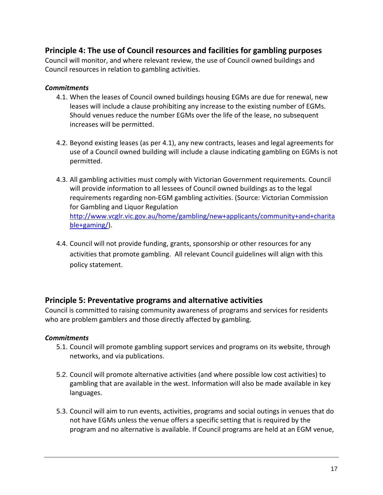# **Principle 4: The use of Council resources and facilities for gambling purposes**

Council will monitor, and where relevant review, the use of Council owned buildings and Council resources in relation to gambling activities.

### *Commitments*

- 4.1. When the leases of Council owned buildings housing EGMs are due for renewal, new leases will include a clause prohibiting any increase to the existing number of EGMs. Should venues reduce the number EGMs over the life of the lease, no subsequent increases will be permitted.
- 4.2. Beyond existing leases (as per 4.1), any new contracts, leases and legal agreements for use of a Council owned building will include a clause indicating gambling on EGMs is not permitted.
- 4.3. All gambling activities must comply with Victorian Government requirements. Council will provide information to all lessees of Council owned buildings as to the legal requirements regarding non-EGM gambling activities. (Source: Victorian Commission for Gambling and Liquor Regulation [http://www.vcglr.vic.gov.au/home/gambling/new+applicants/community+and+charita](http://www.vcglr.vic.gov.au/home/gambling/new+applicants/community+and+charitable+gaming/) [ble+gaming/\)](http://www.vcglr.vic.gov.au/home/gambling/new+applicants/community+and+charitable+gaming/).
- 4.4. Council will not provide funding, grants, sponsorship or other resources for any activities that promote gambling. All relevant Council guidelines will align with this policy statement.

# **Principle 5: Preventative programs and alternative activities**

Council is committed to raising community awareness of programs and services for residents who are problem gamblers and those directly affected by gambling.

- 5.1. Council will promote gambling support services and programs on its website, through networks, and via publications.
- 5.2. Council will promote alternative activities (and where possible low cost activities) to gambling that are available in the west. Information will also be made available in key languages.
- 5.3. Council will aim to run events, activities, programs and social outings in venues that do not have EGMs unless the venue offers a specific setting that is required by the program and no alternative is available. If Council programs are held at an EGM venue,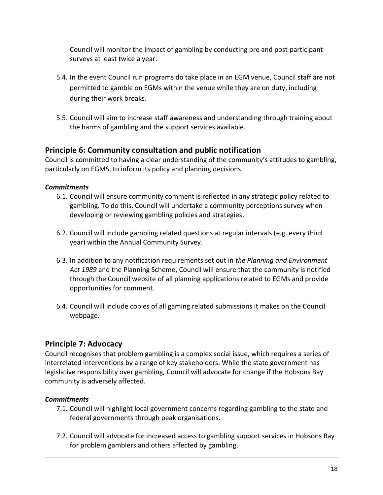Council will monitor the impact of gambling by conducting pre and post participant surveys at least twice a year.

- 5.4. In the event Council run programs do take place in an EGM venue, Council staff are not permitted to gamble on EGMs within the venue while they are on duty, including during their work breaks.
- 5.5. Council will aim to increase staff awareness and understanding through training about the harms of gambling and the support services available.

# **Principle 6: Community consultation and public notification**

Council is committed to having a clear understanding of the community's attitudes to gambling, particularly on EGMS, to inform its policy and planning decisions.

### *Commitments*

- 6.1. Council will ensure community comment is reflected in any strategic policy related to gambling. To do this, Council will undertake a community perceptions survey when developing or reviewing gambling policies and strategies.
- 6.2. Council will include gambling related questions at regular intervals (e.g. every third year) within the Annual Community Survey.
- 6.3. In addition to any notification requirements set out in *the Planning and Environment Act 1989* and the Planning Scheme, Council will ensure that the community is notified through the Council website of all planning applications related to EGMs and provide opportunities for comment.
- 6.4. Council will include copies of all gaming related submissions it makes on the Council webpage.

# **Principle 7: Advocacy**

Council recognises that problem gambling is a complex social issue, which requires a series of interrelated interventions by a range of key stakeholders. While the state government has legislative responsibility over gambling, Council will advocate for change if the Hobsons Bay community is adversely affected.

- 7.1. Council will highlight local government concerns regarding gambling to the state and federal governments through peak organisations.
- 7.2. Council will advocate for increased access to gambling support services in Hobsons Bay for problem gamblers and others affected by gambling.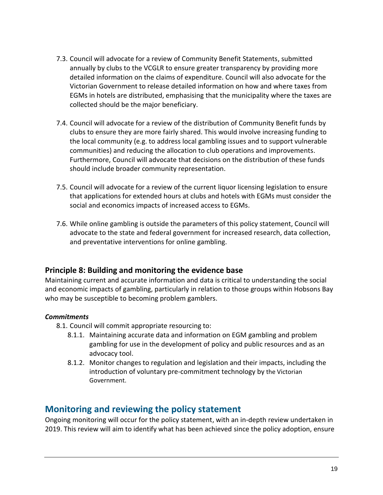- 7.3. Council will advocate for a review of Community Benefit Statements, submitted annually by clubs to the VCGLR to ensure greater transparency by providing more detailed information on the claims of expenditure. Council will also advocate for the Victorian Government to release detailed information on how and where taxes from EGMs in hotels are distributed, emphasising that the municipality where the taxes are collected should be the major beneficiary.
- 7.4. Council will advocate for a review of the distribution of Community Benefit funds by clubs to ensure they are more fairly shared. This would involve increasing funding to the local community (e.g. to address local gambling issues and to support vulnerable communities) and reducing the allocation to club operations and improvements. Furthermore, Council will advocate that decisions on the distribution of these funds should include broader community representation.
- 7.5. Council will advocate for a review of the current liquor licensing legislation to ensure that applications for extended hours at clubs and hotels with EGMs must consider the social and economics impacts of increased access to EGMs.
- 7.6. While online gambling is outside the parameters of this policy statement, Council will advocate to the state and federal government for increased research, data collection, and preventative interventions for online gambling.

# **Principle 8: Building and monitoring the evidence base**

Maintaining current and accurate information and data is critical to understanding the social and economic impacts of gambling, particularly in relation to those groups within Hobsons Bay who may be susceptible to becoming problem gamblers.

## *Commitments*

- 8.1. Council will commit appropriate resourcing to:
	- 8.1.1. Maintaining accurate data and information on EGM gambling and problem gambling for use in the development of policy and public resources and as an advocacy tool.
	- 8.1.2. Monitor changes to regulation and legislation and their impacts, including the introduction of voluntary pre-commitment technology by the Victorian Government.

# **Monitoring and reviewing the policy statement**

Ongoing monitoring will occur for the policy statement, with an in-depth review undertaken in 2019. This review will aim to identify what has been achieved since the policy adoption, ensure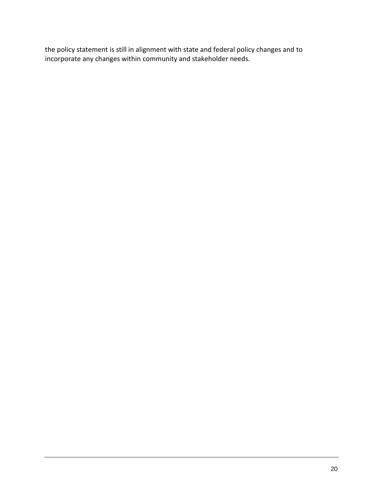the policy statement is still in alignment with state and federal policy changes and to incorporate any changes within community and stakeholder needs.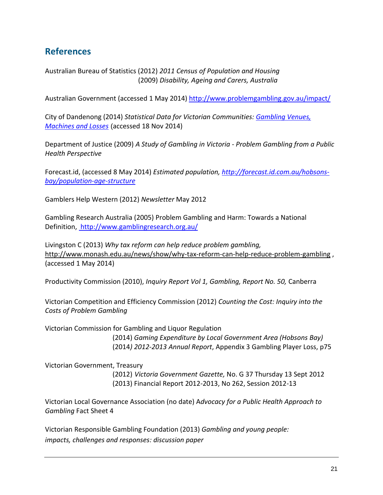# **References**

Australian Bureau of Statistics (2012) *2011 Census of Population and Housing* (2009) *Disability, Ageing and Carers, Australia*

Australian Government (accessed 1 May 2014)<http://www.problemgambling.gov.au/impact/>

City of Dandenong (2014) *Statistical Data for Victorian Communities: [Gambling Venues,](http://www.greaterdandenong.com/document/18526/statistics-vic-gambling-venues-machines-and-losses)  [Machines and Losses](http://www.greaterdandenong.com/document/18526/statistics-vic-gambling-venues-machines-and-losses)* (accessed 18 Nov 2014)

Department of Justice (2009) *A Study of Gambling in Victoria - Problem Gambling from a Public Health Perspective*

Forecast.id, (accessed 8 May 2014) *Estimated population, [http://forecast.id.com.au/hobsons](http://forecast.id.com.au/hobsons-bay/population-age-structure)[bay/population-age-structure](http://forecast.id.com.au/hobsons-bay/population-age-structure)*

Gamblers Help Western (2012) *Newsletter* May 2012

Gambling Research Australia (2005) Problem Gambling and Harm: Towards a National Definition, <http://www.gamblingresearch.org.au/>

Livingston C (2013) *Why tax reform can help reduce problem gambling,*  <http://www.monash.edu.au/news/show/why-tax-reform-can-help-reduce-problem-gambling> , (accessed 1 May 2014)

Productivity Commission (2010), *Inquiry Report Vol 1, Gambling, Report No. 50,* Canberra

Victorian Competition and Efficiency Commission (2012) *Counting the Cost: Inquiry into the Costs of Problem Gambling*

Victorian Commission for Gambling and Liquor Regulation

(2014) *Gaming Expenditure by Local Government Area (Hobsons Bay)* (2014*) 2012-2013 Annual Report*, Appendix 3 Gambling Player Loss, p75

Victorian Government, Treasury

(2012) *Victoria Government Gazette,* No. G 37 Thursday 13 Sept 2012 (2013) Financial Report 2012-2013, No 262, Session 2012-13

Victorian Local Governance Association (no date) A*[dvocacy for a Public Health Approach to](http://www.vlga.org.au/site/DefaultSite/filesystem/documents/Gambling/VLGA%20Fact%20Sheet%204%20-%20Advocacy%20for%20a%20Public%20Health%20Approach%20to%20Gambling.docx)  [Gambling](http://www.vlga.org.au/site/DefaultSite/filesystem/documents/Gambling/VLGA%20Fact%20Sheet%204%20-%20Advocacy%20for%20a%20Public%20Health%20Approach%20to%20Gambling.docx)* Fact Sheet 4

Victorian Responsible Gambling Foundation (2013) *Gambling and young people: impacts, challenges and responses: discussion paper*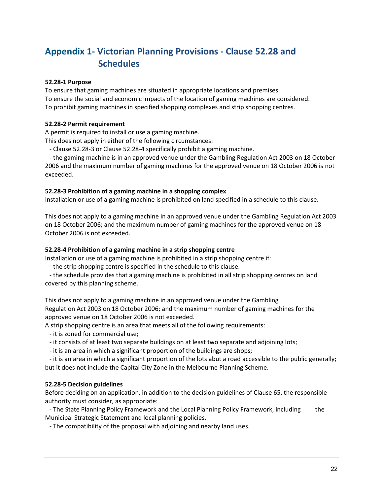# **Appendix 1- Victorian Planning Provisions - Clause 52.28 and Schedules**

#### **52.28-1 Purpose**

To ensure that gaming machines are situated in appropriate locations and premises. To ensure the social and economic impacts of the location of gaming machines are considered. To prohibit gaming machines in specified shopping complexes and strip shopping centres.

#### **52.28-2 Permit requirement**

A permit is required to install or use a gaming machine.

This does not apply in either of the following circumstances:

- Clause 52.28-3 or Clause 52.28-4 specifically prohibit a gaming machine.

- the gaming machine is in an approved venue under the Gambling Regulation Act 2003 on 18 October 2006 and the maximum number of gaming machines for the approved venue on 18 October 2006 is not exceeded.

#### **52.28-3 Prohibition of a gaming machine in a shopping complex**

Installation or use of a gaming machine is prohibited on land specified in a schedule to this clause.

This does not apply to a gaming machine in an approved venue under the Gambling Regulation Act 2003 on 18 October 2006; and the maximum number of gaming machines for the approved venue on 18 October 2006 is not exceeded.

#### **52.28-4 Prohibition of a gaming machine in a strip shopping centre**

Installation or use of a gaming machine is prohibited in a strip shopping centre if:

- the strip shopping centre is specified in the schedule to this clause.

- the schedule provides that a gaming machine is prohibited in all strip shopping centres on land covered by this planning scheme.

This does not apply to a gaming machine in an approved venue under the Gambling Regulation Act 2003 on 18 October 2006; and the maximum number of gaming machines for the approved venue on 18 October 2006 is not exceeded.

A strip shopping centre is an area that meets all of the following requirements:

- it is zoned for commercial use;

- it consists of at least two separate buildings on at least two separate and adjoining lots;

- it is an area in which a significant proportion of the buildings are shops;

- it is an area in which a significant proportion of the lots abut a road accessible to the public generally; but it does not include the Capital City Zone in the Melbourne Planning Scheme.

#### **52.28-5 Decision guidelines**

Before deciding on an application, in addition to the decision guidelines of Clause 65, the responsible authority must consider, as appropriate:

- The State Planning Policy Framework and the Local Planning Policy Framework, including the Municipal Strategic Statement and local planning policies.

- The compatibility of the proposal with adjoining and nearby land uses.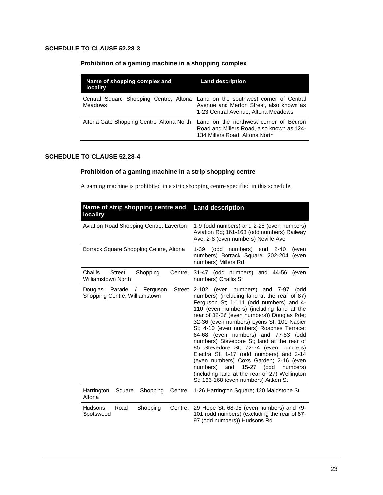#### **SCHEDULE TO CLAUSE 52.28-3**

#### **Prohibition of a gaming machine in a shopping complex**

| Name of shopping complex and<br><b>locality</b> | <b>Land description</b>                                                                                                                                          |  |
|-------------------------------------------------|------------------------------------------------------------------------------------------------------------------------------------------------------------------|--|
| <b>Meadows</b>                                  | Central Square Shopping Centre, Altona Land on the southwest corner of Central<br>Avenue and Merton Street, also known as<br>1-23 Central Avenue, Altona Meadows |  |
| Altona Gate Shopping Centre, Altona North       | Land on the northwest corner of Beuron<br>Road and Millers Road, also known as 124-<br>134 Millers Road, Altona North                                            |  |

#### **SCHEDULE TO CLAUSE 52.28-4**

#### **Prohibition of a gaming machine in a strip shopping centre**

A gaming machine is prohibited in a strip shopping centre specified in this schedule.

| Name of strip shopping centre and<br>locality                                        | <b>Land description</b>                                                                                                                                                                                                                                                                                                                                                                                                                                                                                                                                                                                                                                                               |  |
|--------------------------------------------------------------------------------------|---------------------------------------------------------------------------------------------------------------------------------------------------------------------------------------------------------------------------------------------------------------------------------------------------------------------------------------------------------------------------------------------------------------------------------------------------------------------------------------------------------------------------------------------------------------------------------------------------------------------------------------------------------------------------------------|--|
| Aviation Road Shopping Centre, Laverton                                              | 1-9 (odd numbers) and 2-28 (even numbers)<br>Aviation Rd; 161-163 (odd numbers) Railway<br>Ave; 2-8 (even numbers) Neville Ave                                                                                                                                                                                                                                                                                                                                                                                                                                                                                                                                                        |  |
| Borrack Square Shopping Centre, Altona                                               | numbers) and 2-40<br>1-39<br>odd)<br>(even<br>numbers) Borrack Square; 202-204<br>(even<br>numbers) Millers Rd                                                                                                                                                                                                                                                                                                                                                                                                                                                                                                                                                                        |  |
| Challis<br><b>Street</b><br>Shopping<br>Centre,<br><b>Williamstown North</b>         | 31-47 (odd numbers) and 44-56<br>(even<br>numbers) Challis St                                                                                                                                                                                                                                                                                                                                                                                                                                                                                                                                                                                                                         |  |
| Parade<br>Ferguson<br>Street<br>Douglas<br>$\prime$<br>Shopping Centre, Williamstown | numbers) and 7-97<br>2-102<br>(even<br>(odd<br>numbers) (including land at the rear of 87)<br>Ferguson St; 1-111 (odd numbers) and 4-<br>110 (even numbers) (including land at the<br>rear of 32-36 (even numbers)) Douglas Pde;<br>32-36 (even numbers) Lyons St; 101 Napier<br>St; 4-10 (even numbers) Roaches Terrace;<br>64-68 (even numbers) and 77-83 (odd<br>numbers) Stevedore St; land at the rear of<br>85 Stevedore St; 72-74 (even numbers)<br>Electra St; 1-17 (odd numbers) and 2-14<br>(even numbers) Coxs Garden; 2-16 (even<br>numbers)<br>15-27<br>(odd<br>and<br>numbers)<br>(including land at the rear of 27) Wellington<br>St; 166-168 (even numbers) Aitken St |  |
| Harrington<br>Square<br>Shopping<br>Altona                                           | Centre, 1-26 Harrington Square; 120 Maidstone St                                                                                                                                                                                                                                                                                                                                                                                                                                                                                                                                                                                                                                      |  |
| Hudsons<br>Road<br>Shopping<br>Centre,<br>Spotswood                                  | 29 Hope St; 68-98 (even numbers) and 79-<br>101 (odd numbers) (excluding the rear of 87-<br>97 (odd numbers)) Hudsons Rd                                                                                                                                                                                                                                                                                                                                                                                                                                                                                                                                                              |  |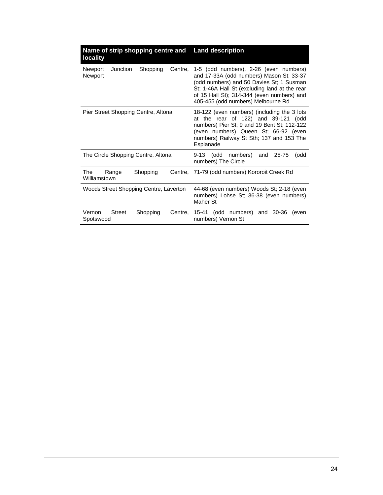| Name of strip shopping centre and<br>locality         | <b>Land description</b>                                                                                                                                                                                                                                             |  |
|-------------------------------------------------------|---------------------------------------------------------------------------------------------------------------------------------------------------------------------------------------------------------------------------------------------------------------------|--|
| Shopping<br>Newport<br>Junction<br>Centre,<br>Newport | 1-5 (odd numbers), 2-26 (even numbers)<br>and 17-33A (odd numbers) Mason St; 33-37<br>(odd numbers) and 50 Davies St; 1 Susman<br>St; 1-46A Hall St (excluding land at the rear<br>of 15 Hall St); 314-344 (even numbers) and<br>405-455 (odd numbers) Melbourne Rd |  |
| Pier Street Shopping Centre, Altona                   | 18-122 (even numbers) (including the 3 lots<br>at the rear of 122) and 39-121 (odd<br>numbers) Pier St; 9 and 19 Bent St; 112-122<br>(even numbers) Queen St; 66-92 (even<br>numbers) Railway St Sth; 137 and 153 The<br>Esplanade                                  |  |
| The Circle Shopping Centre, Altona                    | (odd numbers)<br>9-13<br>and<br>25-75<br>(odd<br>numbers) The Circle                                                                                                                                                                                                |  |
| The<br>Shopping<br>Range<br>Williamstown              | Centre, 71-79 (odd numbers) Kororoit Creek Rd                                                                                                                                                                                                                       |  |
| Woods Street Shopping Centre, Laverton                | 44-68 (even numbers) Woods St; 2-18 (even<br>numbers) Lohse St; 36-38 (even numbers)<br>Maher St                                                                                                                                                                    |  |
| Vernon<br><b>Street</b><br>Shopping<br>Spotswood      | Centre, 15-41 (odd numbers) and 30-36<br>even)<br>numbers) Vernon St                                                                                                                                                                                                |  |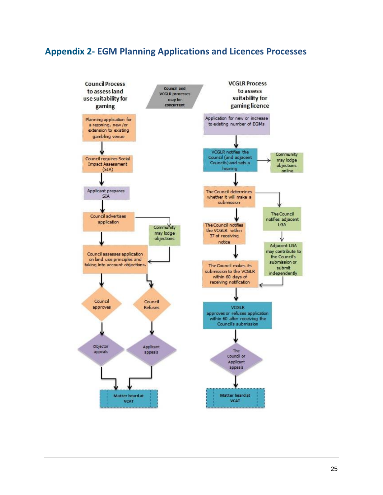# **Appendix 2- EGM Planning Applications and Licences Processes**